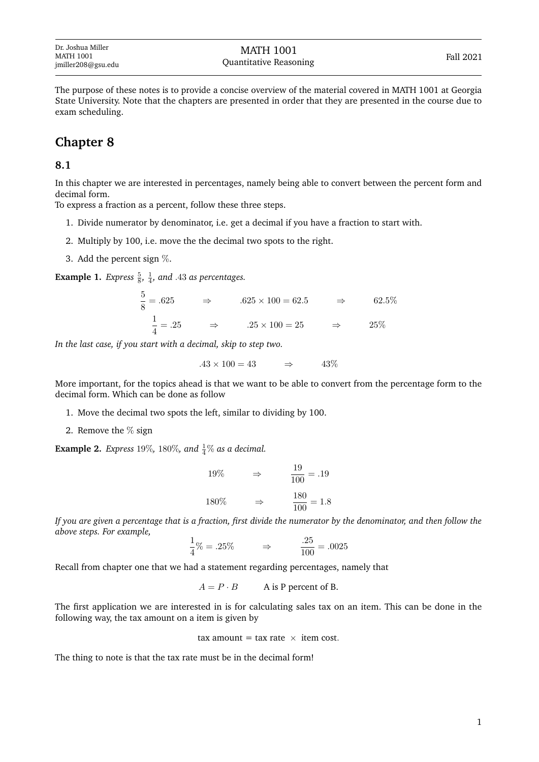The purpose of these notes is to provide a concise overview of the material covered in MATH 1001 at Georgia State University. Note that the chapters are presented in order that they are presented in the course due to exam scheduling.

## **Chapter 8**

### **8.1**

In this chapter we are interested in percentages, namely being able to convert between the percent form and decimal form.

To express a fraction as a percent, follow these three steps.

- 1. Divide numerator by denominator, i.e. get a decimal if you have a fraction to start with.
- 2. Multiply by 100, i.e. move the the decimal two spots to the right.
- 3. Add the percent sign %.

**Example 1.** *Express*  $\frac{5}{8}$ ,  $\frac{1}{4}$ , and .43 as percentages.

$$
\frac{5}{8} = .625 \qquad \Rightarrow \qquad .625 \times 100 = 62.5 \qquad \Rightarrow \qquad 62.5\%
$$
  

$$
\frac{1}{4} = .25 \qquad \Rightarrow \qquad .25 \times 100 = 25 \qquad \Rightarrow \qquad 25\%
$$

*In the last case, if you start with a decimal, skip to step two.*

 $.43 \times 100 = 43$   $\Rightarrow$   $.43\%$ 

More important, for the topics ahead is that we want to be able to convert from the percentage form to the decimal form. Which can be done as follow

- 1. Move the decimal two spots the left, similar to dividing by 100.
- 2. Remove the  $\%$  sign

**Example 2.** *Express* 19%, 180%, and  $\frac{1}{4}$ % *as a decimal.* 

$$
19\% \qquad \Rightarrow \qquad \frac{19}{100} = .19
$$

$$
180\% \qquad \Rightarrow \qquad \frac{180}{100} = 1.8
$$

*If you are given a percentage that is a fraction, first divide the numerator by the denominator, and then follow the above steps. For example,*

$$
\frac{1}{4}\% = .25\% \qquad \Rightarrow \qquad \frac{.25}{100} = .0025
$$

Recall from chapter one that we had a statement regarding percentages, namely that

 $A = P \cdot B$  A is P percent of B.

The first application we are interested in is for calculating sales tax on an item. This can be done in the following way, the tax amount on a item is given by

tax amount = tax rate  $\times$  item cost.

The thing to note is that the tax rate must be in the decimal form!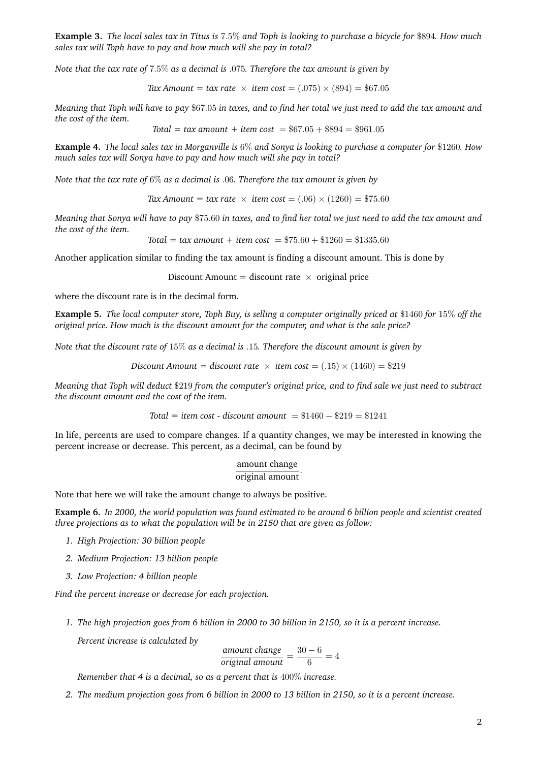**Example 3.** *The local sales tax in Titus is* 7.5% *and Toph is looking to purchase a bicycle for* \$894*. How much sales tax will Toph have to pay and how much will she pay in total?*

*Note that the tax rate of* 7.5% *as a decimal is* .075*. Therefore the tax amount is given by*

*Tax Amount = tax rate*  $\times$  *item cost* = (.075)  $\times$  (894) = \$67.05

*Meaning that Toph will have to pay* \$67.05 *in taxes, and to find her total we just need to add the tax amount and the cost of the item.*

 $Total = tax amount + item cost = $67.05 + $894 = $961.05$ 

**Example 4.** *The local sales tax in Morganville is* 6% *and Sonya is looking to purchase a computer for* \$1260*. How much sales tax will Sonya have to pay and how much will she pay in total?*

*Note that the tax rate of* 6% *as a decimal is* .06*. Therefore the tax amount is given by*

*Tax Amount = tax rate*  $\times$  *item cost* = (.06)  $\times$  (1260) = \$75.60

*Meaning that Sonya will have to pay* \$75.60 *in taxes, and to find her total we just need to add the tax amount and the cost of the item.*

*Total* = *tax amount* + *item cost* =  $$75.60 + $1260 = $1335.60$ 

Another application similar to finding the tax amount is finding a discount amount. This is done by

Discount Amount = discount rate  $\times$  original price

where the discount rate is in the decimal form.

**Example 5.** *The local computer store, Toph Buy, is selling a computer originally priced at* \$1460 *for* 15% *off the original price. How much is the discount amount for the computer, and what is the sale price?*

*Note that the discount rate of* 15% *as a decimal is* .15*. Therefore the discount amount is given by*

*Discount Amount = discount rate*  $\times$  *item cost* = (.15)  $\times$  (1460) = \$219

*Meaning that Toph will deduct* \$219 *from the computer's original price, and to find sale we just need to subtract the discount amount and the cost of the item.*

*Total = item cost - discount amount* = \$1460 − \$219 = \$1241

In life, percents are used to compare changes. If a quantity changes, we may be interested in knowing the percent increase or decrease. This percent, as a decimal, can be found by

#### amount change original amount.

Note that here we will take the amount change to always be positive.

**Example 6.** *In 2000, the world population was found estimated to be around 6 billion people and scientist created three projections as to what the population will be in 2150 that are given as follow:*

- *1. High Projection: 30 billion people*
- *2. Medium Projection: 13 billion people*
- *3. Low Projection: 4 billion people*

*Find the percent increase or decrease for each projection.*

*1. The high projection goes from 6 billion in 2000 to 30 billion in 2150, so it is a percent increase.*

*Percent increase is calculated by*

 $\frac{amount \ change}{original \ amount} = \frac{30 - 6}{6}$  $\frac{6}{6}$  = 4

*Remember that 4 is a decimal, so as a percent that is* 400% *increase.*

*2. The medium projection goes from 6 billion in 2000 to 13 billion in 2150, so it is a percent increase.*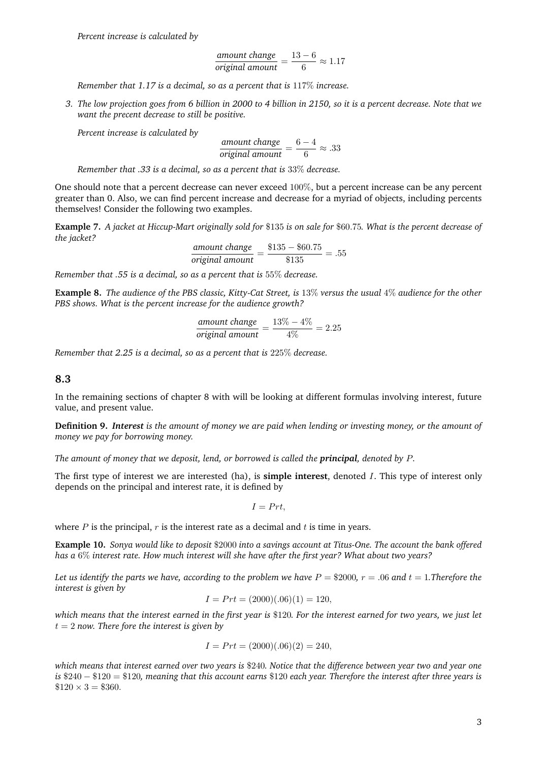$$
\frac{\text{amount change}}{\text{original amount}} = \frac{13 - 6}{6} \approx 1.17
$$

*Remember that 1.17 is a decimal, so as a percent that is* 117% *increase.*

*3. The low projection goes from 6 billion in 2000 to 4 billion in 2150, so it is a percent decrease. Note that we want the precent decrease to still be positive.*

*Percent increase is calculated by*

$$
\frac{\text{amount change}}{\text{original amount}} = \frac{6-4}{6} \approx .33
$$

*Remember that .33 is a decimal, so as a percent that is* 33% *decrease.*

One should note that a percent decrease can never exceed 100%, but a percent increase can be any percent greater than 0. Also, we can find percent increase and decrease for a myriad of objects, including percents themselves! Consider the following two examples.

**Example 7.** *A jacket at Hiccup-Mart originally sold for* \$135 *is on sale for* \$60.75*. What is the percent decrease of the jacket?*

$$
\frac{\text{amount change}}{\text{original amount}} = \frac{\$135 - \$60.75}{\$135} = .55
$$

*Remember that .55 is a decimal, so as a percent that is* 55% *decrease.*

**Example 8.** *The audience of the PBS classic, Kitty-Cat Street, is* 13% *versus the usual* 4% *audience for the other PBS shows. What is the percent increase for the audience growth?*

$$
\frac{\text{amount change}}{\text{original amount}} = \frac{13\% - 4\%}{4\%} = 2.25
$$

*Remember that 2.25 is a decimal, so as a percent that is* 225% *decrease.*

#### **8.3**

In the remaining sections of chapter 8 with will be looking at different formulas involving interest, future value, and present value.

**Definition 9.** *Interest is the amount of money we are paid when lending or investing money, or the amount of money we pay for borrowing money.*

*The amount of money that we deposit, lend, or borrowed is called the principal, denoted by* P*.*

The first type of interest we are interested (ha), is **simple interest**, denoted I. This type of interest only depends on the principal and interest rate, it is defined by

$$
I = Prt,
$$

where  $P$  is the principal,  $r$  is the interest rate as a decimal and  $t$  is time in years.

**Example 10.** *Sonya would like to deposit* \$2000 *into a savings account at Titus-One. The account the bank offered has a* 6% *interest rate. How much interest will she have after the first year? What about two years?*

Let us identify the parts we have, according to the problem we have  $P = \$2000$ ,  $r = .06$  and  $t = 1$ . Therefore the *interest is given by*

$$
I = Prt = (2000)(.06)(1) = 120,
$$

*which means that the interest earned in the first year is* \$120*. For the interest earned for two years, we just let*  $t = 2$  *now. There fore the interest is given by* 

$$
I = Prt = (2000)(.06)(2) = 240,
$$

*which means that interest earned over two years is* \$240*. Notice that the difference between year two and year one is* \$240 − \$120 = \$120*, meaning that this account earns* \$120 *each year. Therefore the interest after three years is*  $$120 \times 3 = $360.$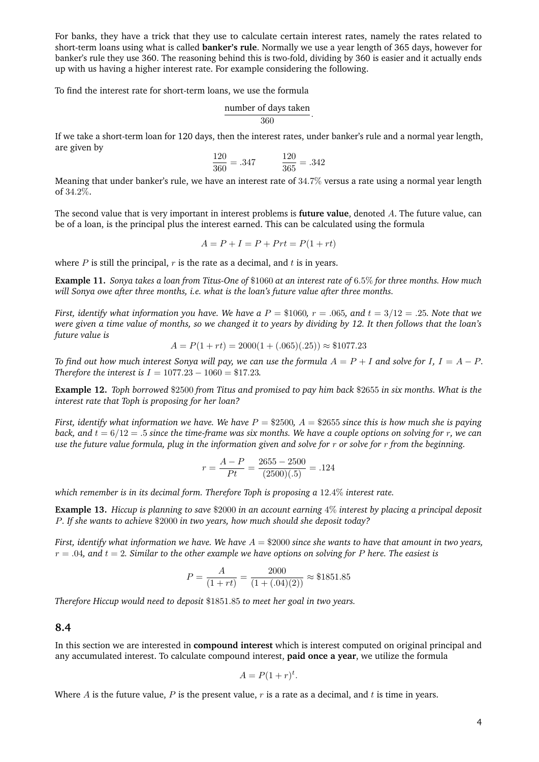For banks, they have a trick that they use to calculate certain interest rates, namely the rates related to short-term loans using what is called **banker's rule**. Normally we use a year length of 365 days, however for banker's rule they use 360. The reasoning behind this is two-fold, dividing by 360 is easier and it actually ends up with us having a higher interest rate. For example considering the following.

To find the interest rate for short-term loans, we use the formula

$$
\frac{\text{number of days taken}}{360}.
$$

If we take a short-term loan for 120 days, then the interest rates, under banker's rule and a normal year length, are given by

$$
\frac{120}{360} = .347 \qquad \frac{120}{365} = .342
$$

Meaning that under banker's rule, we have an interest rate of 34.7% versus a rate using a normal year length of 34.2%.

The second value that is very important in interest problems is **future value**, denoted A. The future value, can be of a loan, is the principal plus the interest earned. This can be calculated using the formula

$$
A = P + I = P + Prt = P(1 + rt)
$$

where  $P$  is still the principal,  $r$  is the rate as a decimal, and  $t$  is in years.

**Example 11.** *Sonya takes a loan from Titus-One of* \$1060 *at an interest rate of* 6.5% *for three months. How much will Sonya owe after three months, i.e. what is the loan's future value after three months.*

*First, identify what information you have. We have a*  $P = \$1060$ ,  $r = .065$ , and  $t = 3/12 = .25$ *. Note that we were given a time value of months, so we changed it to years by dividing by 12. It then follows that the loan's future value is*

$$
A = P(1 + rt) = 2000(1 + (.065)(.25)) \approx $1077.23
$$

*To find out how much interest Sonya will pay, we can use the formula*  $A = P + I$  *and solve for*  $I, I = A - P$ *. Therefore the interest is*  $I = 1077.23 - 1060 = $17.23$ .

**Example 12.** *Toph borrowed* \$2500 *from Titus and promised to pay him back* \$2655 *in six months. What is the interest rate that Toph is proposing for her loan?*

*First, identify what information we have. We have* P = \$2500*,* A = \$2655 *since this is how much she is paying back, and*  $t = 6/12 = .5$  *since the time-frame was six months. We have a couple options on solving for* r, we can *use the future value formula, plug in the information given and solve for* r *or solve for* r *from the beginning.*

$$
r = \frac{A - P}{Pt} = \frac{2655 - 2500}{(2500)(.5)} = .124
$$

*which remember is in its decimal form. Therefore Toph is proposing a* 12.4% *interest rate.*

**Example 13.** *Hiccup is planning to save* \$2000 *in an account earning* 4% *interest by placing a principal deposit* P*. If she wants to achieve* \$2000 *in two years, how much should she deposit today?*

*First, identify what information we have. We have* A = \$2000 *since she wants to have that amount in two years,* r = .04*, and* t = 2*. Similar to the other example we have options on solving for* P *here. The easiest is*

$$
P = \frac{A}{(1+rt)} = \frac{2000}{(1+(0.04)(2))} \approx $1851.85
$$

*Therefore Hiccup would need to deposit* \$1851.85 *to meet her goal in two years.*

**8.4**

In this section we are interested in **compound interest** which is interest computed on original principal and any accumulated interest. To calculate compound interest, **paid once a year**, we utilize the formula

$$
A = P(1+r)^t.
$$

Where A is the future value, P is the present value, r is a rate as a decimal, and t is time in years.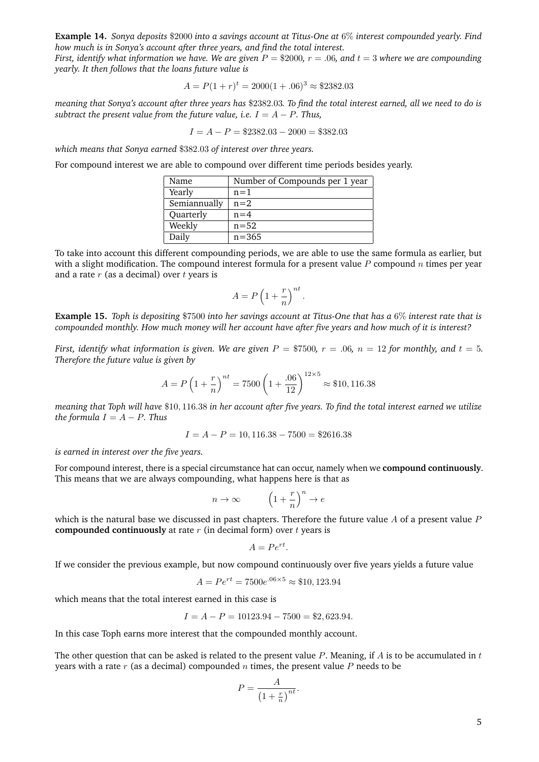**Example 14.** *Sonya deposits* \$2000 *into a savings account at Titus-One at* 6% *interest compounded yearly. Find how much is in Sonya's account after three years, and find the total interest.*

*First, identify what information we have. We are given* P = \$2000*,* r = .06*, and* t = 3 *where we are compounding yearly. It then follows that the loans future value is*

$$
A = P(1+r)^{t} = 2000(1+.06)^{3} \approx $2382.03
$$

*meaning that Sonya's account after three years has* \$2382.03*. To find the total interest earned, all we need to do is subtract the present value from the future value, i.e.*  $I = A - P$ *. Thus,* 

$$
I = A - P = $2382.03 - 2000 = $382.03
$$

*which means that Sonya earned* \$382.03 *of interest over three years.*

For compound interest we are able to compound over different time periods besides yearly.

| Name         | Number of Compounds per 1 year |
|--------------|--------------------------------|
| Yearly       | $n=1$                          |
| Semiannually | $n=2$                          |
| Quarterly    | $n=4$                          |
| Weekly       | $n = 52$                       |
| Daily        | $n = 365$                      |

To take into account this different compounding periods, we are able to use the same formula as earlier, but with a slight modification. The compound interest formula for a present value  $P$  compound  $n$  times per year and a rate  $r$  (as a decimal) over  $t$  vears is

$$
A = P\left(1 + \frac{r}{n}\right)^{nt}.
$$

**Example 15.** *Toph is depositing* \$7500 *into her savings account at Titus-One that has a* 6% *interest rate that is compounded monthly. How much money will her account have after five years and how much of it is interest?*

*First, identify what information is given. We are given*  $P = $7500$ ,  $r = .06$ ,  $n = 12$  *for monthly, and*  $t = 5$ *. Therefore the future value is given by*

$$
A = P\left(1 + \frac{r}{n}\right)^{nt} = 7500\left(1 + \frac{.06}{12}\right)^{12 \times 5} \approx $10,116.38
$$

*meaning that Toph will have* \$10, 116.38 *in her account after five years. To find the total interest earned we utilize the formula*  $I = A - P$ *. Thus* 

$$
I = A - P = 10,116.38 - 7500 = $2616.38
$$

*is earned in interest over the five years.*

For compound interest, there is a special circumstance hat can occur, namely when we **compound continuously**. This means that we are always compounding, what happens here is that as

$$
n \to \infty \qquad \left(1 + \frac{r}{n}\right)^n \to e
$$

which is the natural base we discussed in past chapters. Therefore the future value  $A$  of a present value  $P$ **compounded continuously** at rate r (in decimal form) over t years is

$$
A = Pe^{rt}.
$$

If we consider the previous example, but now compound continuously over five years yields a future value

$$
A = Pe^{rt} = 7500e^{.06 \times 5} \approx $10,123.94
$$

which means that the total interest earned in this case is

$$
I = A - P = 10123.94 - 7500 = $2,623.94.
$$

In this case Toph earns more interest that the compounded monthly account.

The other question that can be asked is related to the present value  $P$ . Meaning, if  $A$  is to be accumulated in  $t$ years with a rate r (as a decimal) compounded n times, the present value P needs to be

$$
P = \frac{A}{\left(1 + \frac{r}{n}\right)^{nt}}.
$$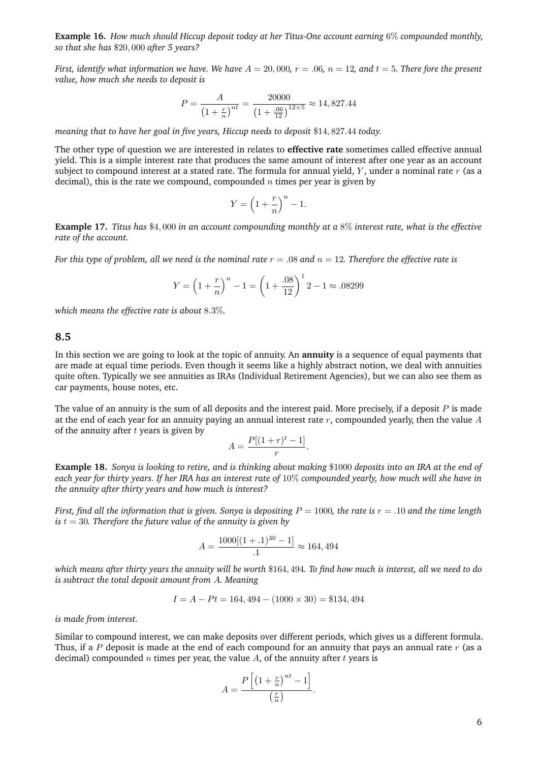**Example 16.** *How much should Hiccup deposit today at her Titus-One account earning* 6% *compounded monthly, so that she has* \$20, 000 *after 5 years?*

*First, identify what information we have. We have*  $A = 20,000$ ,  $r = .06$ ,  $n = 12$ , and  $t = 5$ . There fore the present *value, how much she needs to deposit is*

$$
P = \frac{A}{\left(1 + \frac{r}{n}\right)^{nt}} = \frac{20000}{\left(1 + \frac{.06}{12}\right)^{12 \times 5}} \approx 14,827.44
$$

*meaning that to have her goal in five years, Hiccup needs to deposit* \$14, 827.44 *today.*

The other type of question we are interested in relates to **effective rate** sometimes called effective annual yield. This is a simple interest rate that produces the same amount of interest after one year as an account subject to compound interest at a stated rate. The formula for annual yield,  $Y$ , under a nominal rate  $r$  (as a decimal), this is the rate we compound, compounded  $n$  times per year is given by

$$
Y = \left(1 + \frac{r}{n}\right)^n - 1.
$$

**Example 17.** *Titus has* \$4, 000 *in an account compounding monthly at a* 8% *interest rate, what is the effective rate of the account.*

*For this type of problem, all we need is the nominal rate*  $r = .08$  *and*  $n = 12$ *. Therefore the effective rate is* 

$$
Y = \left(1 + \frac{r}{n}\right)^n - 1 = \left(1 + \frac{.08}{12}\right)^1 2 - 1 \approx .08299
$$

*which means the effective rate is about* 8.3%*.*

#### **8.5**

In this section we are going to look at the topic of annuity. An **annuity** is a sequence of equal payments that are made at equal time periods. Even though it seems like a highly abstract notion, we deal with annuities quite often. Typically we see annuities as IRAs (Individual Retirement Agencies), but we can also see them as car payments, house notes, etc.

The value of an annuity is the sum of all deposits and the interest paid. More precisely, if a deposit  $P$  is made at the end of each year for an annuity paying an annual interest rate  $r$ , compounded yearly, then the value  $A$ of the annuity after  $t$  years is given by

$$
A = \frac{P[(1+r)^t - 1]}{r}.
$$

**Example 18.** *Sonya is looking to retire, and is thinking about making* \$1000 *deposits into an IRA at the end of each year for thirty years. If her IRA has an interest rate of* 10% *compounded yearly, how much will she have in the annuity after thirty years and how much is interest?*

*First, find all the information that is given. Sonya is depositing*  $P = 1000$ *, the rate is*  $r = .10$  *and the time length is*  $t = 30$ *. Therefore the future value of the annuity is given by* 

$$
A = \frac{1000[(1+.1)^{30} - 1]}{.1} \approx 164,494
$$

*which means after thirty years the annuity will be worth* \$164, 494*. To find how much is interest, all we need to do is subtract the total deposit amount from* A*. Meaning*

$$
I = A - Pt = 164,494 - (1000 \times 30) = $134,494
$$

*is made from interest.*

Similar to compound interest, we can make deposits over different periods, which gives us a different formula. Thus, if a P deposit is made at the end of each compound for an annuity that pays an annual rate  $r$  (as a decimal) compounded  $n$  times per year, the value  $A$ , of the annuity after  $t$  years is

$$
A = \frac{P\left[\left(1 + \frac{r}{n}\right)^{nt} - 1\right]}{\left(\frac{r}{n}\right)}.
$$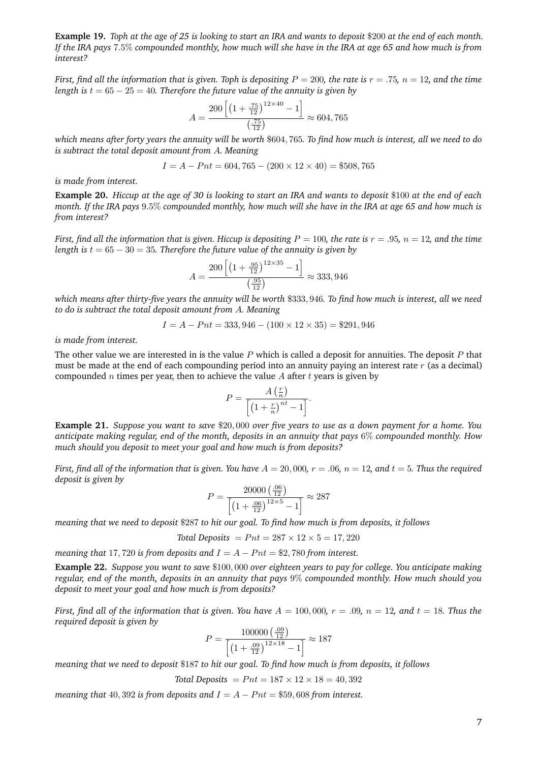**Example 19.** *Toph at the age of 25 is looking to start an IRA and wants to deposit* \$200 *at the end of each month. If the IRA pays* 7.5% *compounded monthly, how much will she have in the IRA at age 65 and how much is from interest?*

*First, find all the information that is given. Toph is depositing*  $P = 200$ *, the rate is*  $r = .75$ *,*  $n = 12$ *, and the time length is*  $t = 65 - 25 = 40$ *. Therefore the future value of the annuity is given by* 

$$
A = \frac{200\left[\left(1 + \frac{.75}{12}\right)^{12 \times 40} - 1\right]}{\left(\frac{.75}{12}\right)} \approx 604,765
$$

*which means after forty years the annuity will be worth* \$604, 765*. To find how much is interest, all we need to do is subtract the total deposit amount from* A*. Meaning*

$$
I = A - Pnt = 604,765 - (200 \times 12 \times 40) = $508,765
$$

*is made from interest.*

**Example 20.** *Hiccup at the age of 30 is looking to start an IRA and wants to deposit* \$100 *at the end of each month. If the IRA pays* 9.5% *compounded monthly, how much will she have in the IRA at age 65 and how much is from interest?*

*First, find all the information that is given. Hiccup is depositing*  $P = 100$ *, the rate is*  $r = .95$ *, n* = 12*, and the time length is*  $t = 65 - 30 = 35$ *. Therefore the future value of the annuity is given by* 

$$
A = \frac{200\left[\left(1 + \frac{.95}{12}\right)^{12 \times 35} - 1\right]}{\left(\frac{.95}{12}\right)} \approx 333,946
$$

*which means after thirty-five years the annuity will be worth* \$333, 946*. To find how much is interest, all we need to do is subtract the total deposit amount from* A*. Meaning*

$$
I = A - Pnt = 333,946 - (100 \times 12 \times 35) = $291,946
$$

*is made from interest.*

The other value we are interested in is the value  $P$  which is called a deposit for annuities. The deposit  $P$  that must be made at the end of each compounding period into an annuity paying an interest rate  $r$  (as a decimal) compounded n times per year, then to achieve the value A after t years is given by

$$
P = \frac{A\left(\frac{r}{n}\right)}{\left[\left(1 + \frac{r}{n}\right)^{nt} - 1\right]}.
$$

**Example 21.** *Suppose you want to save* \$20, 000 *over five years to use as a down payment for a home. You anticipate making regular, end of the month, deposits in an annuity that pays* 6% *compounded monthly. How much should you deposit to meet your goal and how much is from deposits?*

*First, find all of the information that is given. You have*  $A = 20,000$ ,  $r = .06$ ,  $n = 12$ , and  $t = 5$ . Thus the required *deposit is given by*

$$
P = \frac{20000 \left(\frac{.06}{12}\right)}{\left[\left(1 + \frac{.06}{12}\right)^{12 \times 5} - 1\right]} \approx 287
$$

*meaning that we need to deposit* \$287 *to hit our goal. To find how much is from deposits, it follows*

*Total Deposits* =  $Pnt = 287 \times 12 \times 5 = 17,220$ 

*meaning that* 17, 720 *is from deposits and*  $I = A - Pnt = $2,780$  *from interest.* 

**Example 22.** *Suppose you want to save* \$100, 000 *over eighteen years to pay for college. You anticipate making regular, end of the month, deposits in an annuity that pays* 9% *compounded monthly. How much should you deposit to meet your goal and how much is from deposits?*

*First, find all of the information that is given. You have*  $A = 100,000$ ,  $r = .09$ ,  $n = 12$ , and  $t = 18$ . Thus the *required deposit is given by*

$$
P = \frac{100000 \left(\frac{09}{12}\right)}{\left[ \left(1 + \frac{09}{12}\right)^{12 \times 18} - 1 \right]} \approx 187
$$

*meaning that we need to deposit* \$187 *to hit our goal. To find how much is from deposits, it follows*

Total *Deposits* = 
$$
Prt = 187 \times 12 \times 18 = 40,392
$$

*meaning that* 40, 392 *is from deposits and*  $I = A - Pnt = $59,608$  *from interest.*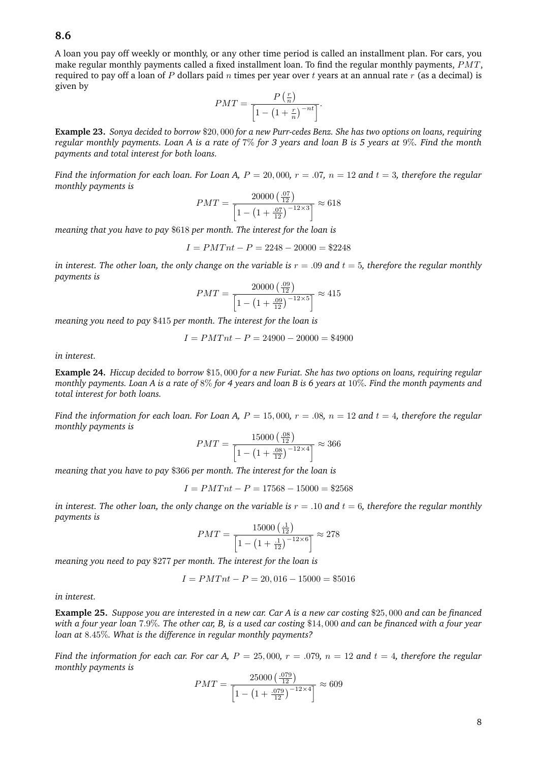## **8.6**

A loan you pay off weekly or monthly, or any other time period is called an installment plan. For cars, you make regular monthly payments called a fixed installment loan. To find the regular monthly payments, PMT, required to pay off a loan of P dollars paid n times per year over t years at an annual rate r (as a decimal) is given by

$$
PMT = \frac{P\left(\frac{r}{n}\right)}{\left[1 - \left(1 + \frac{r}{n}\right)^{-nt}\right]}.
$$

**Example 23.** *Sonya decided to borrow* \$20, 000 *for a new Purr-cedes Benz. She has two options on loans, requiring regular monthly payments. Loan A is a rate of* 7% *for 3 years and loan B is 5 years at* 9%*. Find the month payments and total interest for both loans.*

*Find the information for each loan. For Loan A,*  $P = 20,000$ ,  $r = .07$ ,  $n = 12$  and  $t = 3$ , therefore the regular *monthly payments is*

$$
PMT = \frac{20000 \left(\frac{07}{12}\right)}{\left[1 - \left(1 + \frac{07}{12}\right)^{-12 \times 3}\right]} \approx 618
$$

*meaning that you have to pay* \$618 *per month. The interest for the loan is*

$$
I = PMTnt - P = 2248 - 20000 = $2248
$$

*in interest. The other loan, the only change on the variable is*  $r = .09$  *and*  $t = 5$ *, therefore the regular monthly payments is*

$$
PMT = \frac{20000 \left(\frac{.09}{12}\right)}{\left[1 - \left(1 + \frac{.09}{12}\right)^{-12 \times 5}\right]} \approx 415
$$

*meaning you need to pay* \$415 *per month. The interest for the loan is*

$$
I = PMTnt - P = 24900 - 20000 = $4900
$$

*in interest.*

**Example 24.** *Hiccup decided to borrow* \$15, 000 *for a new Furiat. She has two options on loans, requiring regular monthly payments. Loan A is a rate of* 8% *for 4 years and loan B is 6 years at* 10%*. Find the month payments and total interest for both loans.*

*Find the information for each loan. For Loan A,*  $P = 15,000$ ,  $r = .08$ ,  $n = 12$  and  $t = 4$ , therefore the regular *monthly payments is*

$$
PMT = \frac{15000 \left(\frac{.08}{12}\right)}{\left[1 - \left(1 + \frac{.08}{12}\right)^{-12 \times 4}\right]} \approx 366
$$

*meaning that you have to pay* \$366 *per month. The interest for the loan is*

$$
I = PMTnt - P = 17568 - 15000 = $2568
$$

*in interest. The other loan, the only change on the variable is*  $r = .10$  *and*  $t = 6$ *, therefore the regular monthly payments is*

$$
PMT = \frac{15000 \left(\frac{1}{12}\right)}{\left[1 - \left(1 + \frac{1}{12}\right)^{-12 \times 6}\right]} \approx 278
$$

*meaning you need to pay* \$277 *per month. The interest for the loan is*

$$
I = PMTnt - P = 20,016 - 15000 = $5016
$$

*in interest.*

**Example 25.** *Suppose you are interested in a new car. Car A is a new car costing* \$25, 000 *and can be financed with a four year loan* 7.9%*. The other car, B, is a used car costing* \$14, 000 *and can be financed with a four year loan at* 8.45%*. What is the difference in regular monthly payments?*

*Find the information for each car. For car A,*  $P = 25,000$ ,  $r = .079$ ,  $n = 12$  and  $t = 4$ , therefore the regular *monthly payments is*

$$
PMT = \frac{25000 \left(\frac{.079}{12}\right)}{\left[1 - \left(1 + \frac{.079}{12}\right)^{-12 \times 4}\right]} \approx 609
$$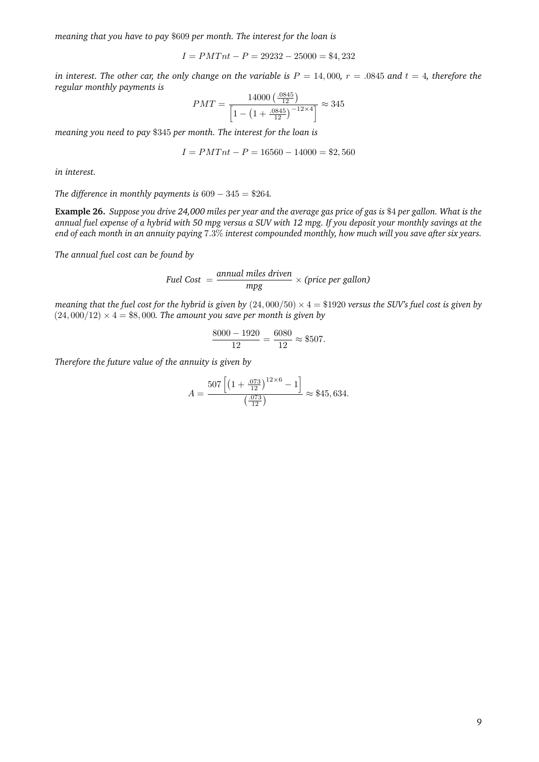*meaning that you have to pay* \$609 *per month. The interest for the loan is*

$$
I = PMTnt - P = 29232 - 25000 = $4,232
$$

*in interest. The other car, the only change on the variable is*  $P = 14,000$ ,  $r = .0845$  and  $t = 4$ , therefore the *regular monthly payments is*

$$
PMT = \frac{14000 \left(\frac{0.0845}{12}\right)}{\left[1 - \left(1 + \frac{0.0845}{12}\right)^{-12 \times 4}\right]} \approx 345
$$

*meaning you need to pay* \$345 *per month. The interest for the loan is*

$$
I = PMTnt - P = 16560 - 14000 = $2,560
$$

*in interest.*

*The difference in monthly payments is* 609 − 345 = \$264*.*

**Example 26.** *Suppose you drive 24,000 miles per year and the average gas price of gas is* \$4 *per gallon. What is the annual fuel expense of a hybrid with 50 mpg versus a SUV with 12 mpg. If you deposit your monthly savings at the end of each month in an annuity paying* 7.3% *interest compounded monthly, how much will you save after six years.*

*The annual fuel cost can be found by*

$$
Field Cost = \frac{annual miles driven}{mpg} \times (price per gallon)
$$

*meaning that the fuel cost for the hybrid is given by*  $(24,000/50) \times 4 = $1920$  *versus the SUV's fuel cost is given by*  $(24,000/12) \times 4 = $8,000$ . The amount you save per month is given by

$$
\frac{8000 - 1920}{12} = \frac{6080}{12} \approx $507.
$$

*Therefore the future value of the annuity is given by*

$$
A = \frac{507 \left[ \left( 1 + \frac{.073}{12} \right)^{12 \times 6} - 1 \right]}{\left( \frac{.073}{12} \right)} \approx $45,634.
$$